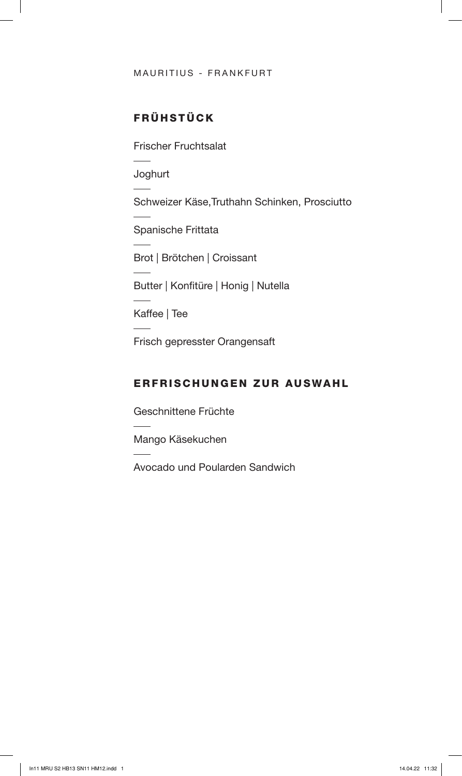#### MAURITIUS - FRANKFURT

# FRÜHSTÜCK

Frischer Fruchtsalat

Joghurt

Schweizer Käse,Truthahn Schinken, Prosciutto

Spanische Frittata

Brot | Brötchen | Croissant

Butter | Konfitüre | Honig | Nutella

Kaffee | Tee

Frisch gepresster Orangensaft

### ERFRISCHUNGEN ZUR AUSWAHL

Geschnittene Früchte

Mango Käsekuchen

Avocado und Poularden Sandwich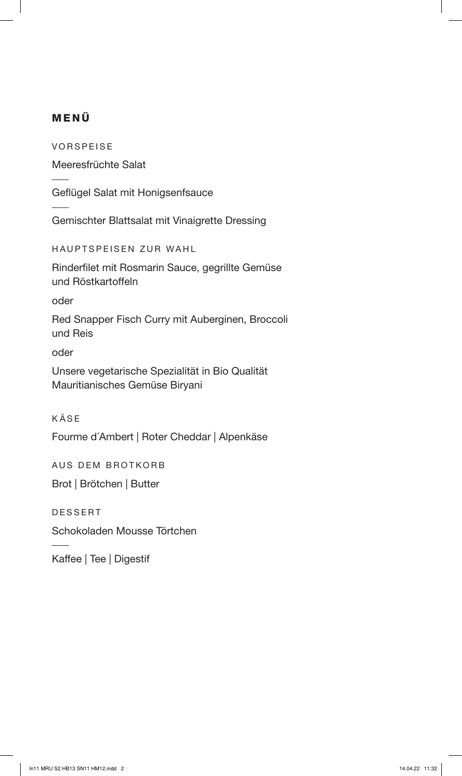# MENÜ

VORSPEISE

Meeresfrüchte Salat

Geflügel Salat mit Honigsenfsauce

Gemischter Blattsalat mit Vinaigrette Dressing

HAUPTSPEISEN ZUR WAHL

Rinderfilet mit Rosmarin Sauce, gegrillte Gemüse und Röstkartoffeln

oder

Red Snapper Fisch Curry mit Auberginen, Broccoli und Reis

oder

Unsere vegetarische Spezialität in Bio Qualität Mauritianisches Gemüse Biryani

KÄSE

Fourme d´Ambert | Roter Cheddar | Alpenkäse

AUS DEM BROTKORB

Brot | Brötchen | Butter

DESSERT

Schokoladen Mousse Törtchen

Kaffee | Tee | Digestif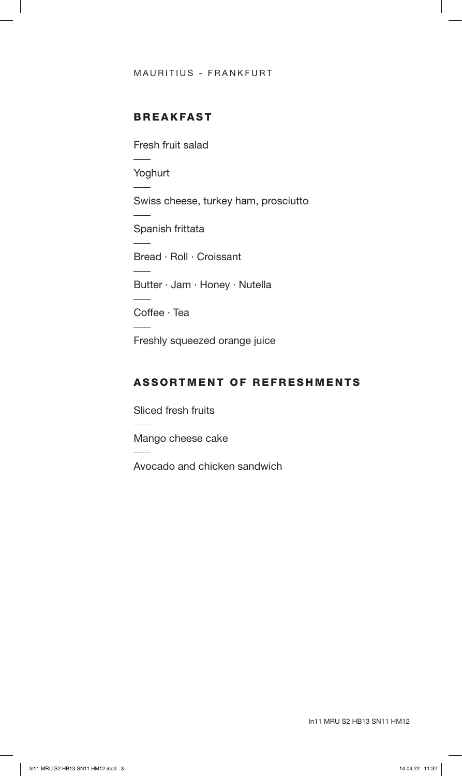#### MAURITIUS - FRANKFURT

# BREAKFAST

Fresh fruit salad

Yoghurt

Swiss cheese, turkey ham, prosciutto

Spanish frittata

Bread · Roll · Croissant

Butter · Jam · Honey · Nutella

Coffee · Tea

Freshly squeezed orange juice

## ASSORTMENT OF REFRESHMENTS

Sliced fresh fruits

Mango cheese cake

Avocado and chicken sandwich